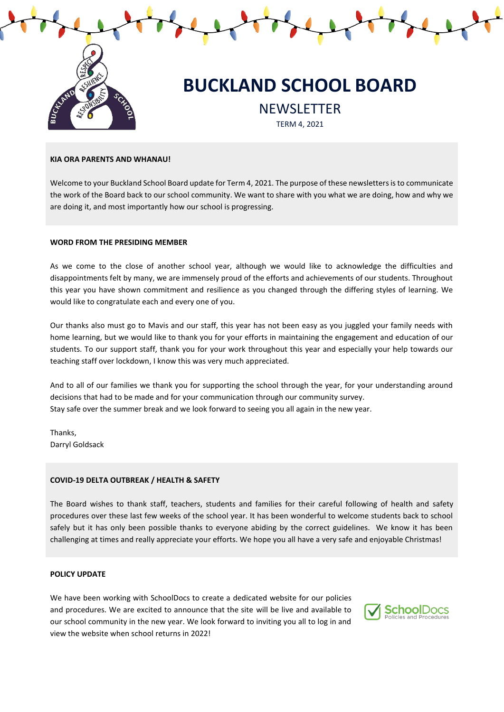

#### **KIA ORA PARENTS AND WHANAU!**

Welcome to your Buckland School Board update for Term 4, 2021. The purpose of these newsletters is to communicate the work of the Board back to our school community. We want to share with you what we are doing, how and why we are doing it, and most importantly how our school is progressing.

#### **WORD FROM THE PRESIDING MEMBER**

As we come to the close of another school year, although we would like to acknowledge the difficulties and disappointments felt by many, we are immensely proud of the efforts and achievements of our students. Throughout this year you have shown commitment and resilience as you changed through the differing styles of learning. We would like to congratulate each and every one of you.

Our thanks also must go to Mavis and our staff, this year has not been easy as you juggled your family needs with home learning, but we would like to thank you for your efforts in maintaining the engagement and education of our students. To our support staff, thank you for your work throughout this year and especially your help towards our teaching staff over lockdown, I know this was very much appreciated.

And to all of our families we thank you for supporting the school through the year, for your understanding around decisions that had to be made and for your communication through our community survey. Stay safe over the summer break and we look forward to seeing you all again in the new year.

Thanks, Darryl Goldsack

# **COVID-19 DELTA OUTBREAK / HEALTH & SAFETY**

The Board wishes to thank staff, teachers, students and families for their careful following of health and safety procedures over these last few weeks of the school year. It has been wonderful to welcome students back to school safely but it has only been possible thanks to everyone abiding by the correct guidelines. We know it has been challenging at times and really appreciate your efforts. We hope you all have a very safe and enjoyable Christmas!

#### **POLICY UPDATE**

We have been working with SchoolDocs to create a dedicated website for our policies and procedures. We are excited to announce that the site will be live and available to our school community in the new year. We look forward to inviting you all to log in and view the website when school returns in 2022!

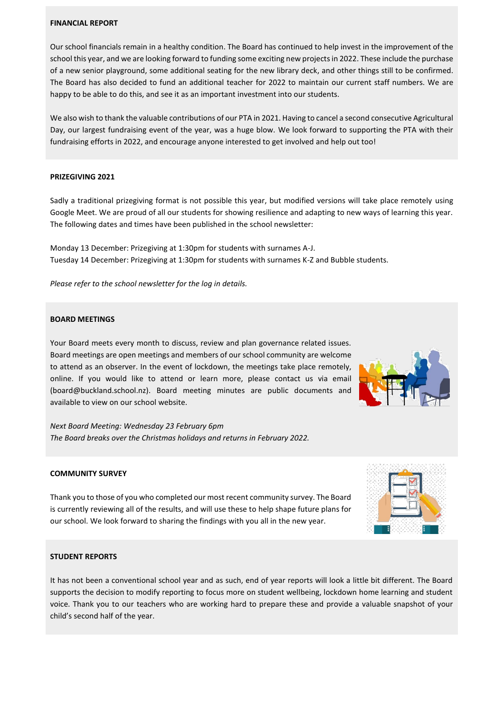#### **FINANCIAL REPORT**

Our school financials remain in a healthy condition. The Board has continued to help invest in the improvement of the school this year, and we are looking forward to funding some exciting new projects in 2022. These include the purchase of a new senior playground, some additional seating for the new library deck, and other things still to be confirmed. The Board has also decided to fund an additional teacher for 2022 to maintain our current staff numbers. We are happy to be able to do this, and see it as an important investment into our students.

We also wish to thank the valuable contributions of our PTA in 2021. Having to cancel a second consecutive Agricultural Day, our largest fundraising event of the year, was a huge blow. We look forward to supporting the PTA with their fundraising efforts in 2022, and encourage anyone interested to get involved and help out too!

# **PRIZEGIVING 2021**

Sadly a traditional prizegiving format is not possible this year, but modified versions will take place remotely using Google Meet. We are proud of all our students for showing resilience and adapting to new ways of learning this year. The following dates and times have been published in the school newsletter:

Monday 13 December: Prizegiving at 1:30pm for students with surnames A-J. Tuesday 14 December: Prizegiving at 1:30pm for students with surnames K-Z and Bubble students.

*Please refer to the school newsletter for the log in details.*

## **BOARD MEETINGS**

Your Board meets every month to discuss, review and plan governance related issues. Board meetings are open meetings and members of our school community are welcome to attend as an observer. In the event of lockdown, the meetings take place remotely, online. If you would like to attend or learn more, please contact us via email (board@buckland.school.nz). Board meeting minutes are public documents and available to view on our school website.



*Next Board Meeting: Wednesday 23 February 6pm The Board breaks over the Christmas holidays and returns in February 2022.*

# **COMMUNITY SURVEY**

Thank you to those of you who completed our most recent community survey. The Board is currently reviewing all of the results, and will use these to help shape future plans for our school. We look forward to sharing the findings with you all in the new year.



#### **STUDENT REPORTS**

It has not been a conventional school year and as such, end of year reports will look a little bit different. The Board supports the decision to modify reporting to focus more on student wellbeing, lockdown home learning and student voice. Thank you to our teachers who are working hard to prepare these and provide a valuable snapshot of your child's second half of the year.